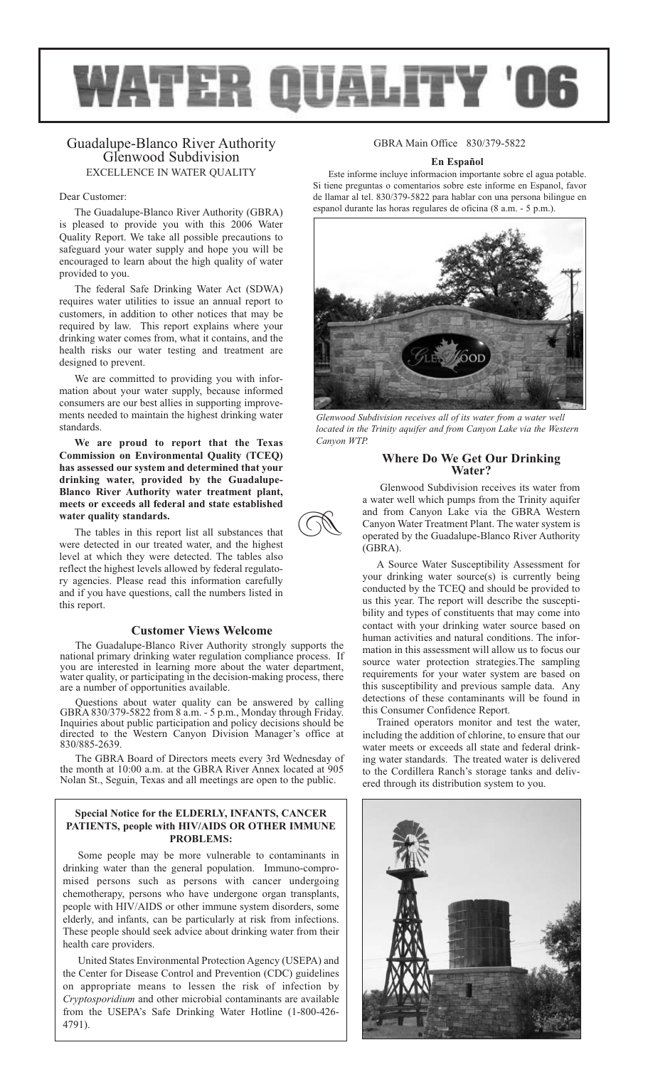

# Guadalupe-Blanco River Authority Glenwood Subdivision EXCELLENCE IN WATER QUALITY

### Dear Customer:

The Guadalupe-Blanco River Authority (GBRA) is pleased to provide you with this 2006 Water Quality Report. We take all possible precautions to safeguard your water supply and hope you will be encouraged to learn about the high quality of water provided to you.

The federal Safe Drinking Water Act (SDWA) requires water utilities to issue an annual report to customers, in addition to other notices that may be required by law. This report explains where your drinking water comes from, what it contains, and the health risks our water testing and treatment are designed to prevent.

We are committed to providing you with information about your water supply, because informed consumers are our best allies in supporting improvements needed to maintain the highest drinking water standards.

**We are proud to report that the Texas Commission on Environmental Quality (TCEQ) has assessed our system and determined that your drinking water, provided by the Guadalupe-Blanco River Authority water treatment plant, meets or exceeds all federal and state established water quality standards.**

The tables in this report list all substances that were detected in our treated water, and the highest level at which they were detected. The tables also reflect the highest levels allowed by federal regulatory agencies. Please read this information carefully and if you have questions, call the numbers listed in this report.

## **Customer Views Welcome**

The Guadalupe-Blanco River Authority strongly supports the national primary drinking water regulation compliance process. If you are interested in learning more about the water department, water quality, or participating in the decision-making process, there are a number of opportunities available.

Questions about water quality can be answered by calling GBRA 830/379-5822 from 8 a.m. - 5 p.m., Monday through Friday. Inquiries about public participation and policy decisions should be directed to the Western Canyon Division Manager's office at 830/885-2639.

The GBRA Board of Directors meets every 3rd Wednesday of the month at 10:00 a.m. at the GBRA River Annex located at 905 Nolan St., Seguin, Texas and all meetings are open to the public.

## **Special Notice for the ELDERLY, INFANTS, CANCER PATIENTS, people with HIV/AIDS OR OTHER IMMUNE PROBLEMS:**

Some people may be more vulnerable to contaminants in drinking water than the general population. Immuno-compromised persons such as persons with cancer undergoing chemotherapy, persons who have undergone organ transplants, people with HIV/AIDS or other immune system disorders, some elderly, and infants, can be particularly at risk from infections. These people should seek advice about drinking water from their health care providers.

United States Environmental Protection Agency (USEPA) and the Center for Disease Control and Prevention (CDC) guidelines on appropriate means to lessen the risk of infection by *Cryptosporidium* and other microbial contaminants are available from the USEPA's Safe Drinking Water Hotline (1-800-426- 4791).

# GBRA Main Office 830/379-5822

### **En Español**

Este informe incluye informacion importante sobre el agua potable. Si tiene preguntas o comentarios sobre este informe en Espanol, favor de llamar al tel. 830/379-5822 para hablar con una persona bilingue en espanol durante las horas regulares de oficina (8 a.m. - 5 p.m.).



*Glenwood Subdivision receives all of its water from a water well located in the Trinity aquifer and from Canyon Lake via the Western Canyon WTP.*

# **Where Do We Get Our Drinking Water?**

Glenwood Subdivision receives its water from a water well which pumps from the Trinity aquifer and from Canyon Lake via the GBRA Western Canyon Water Treatment Plant. The water system is operated by the Guadalupe-Blanco River Authority (GBRA).

A Source Water Susceptibility Assessment for your drinking water source(s) is currently being conducted by the TCEQ and should be provided to us this year. The report will describe the susceptibility and types of constituents that may come into contact with your drinking water source based on human activities and natural conditions. The information in this assessment will allow us to focus our source water protection strategies.The sampling requirements for your water system are based on this susceptibility and previous sample data. Any detections of these contaminants will be found in this Consumer Confidence Report.

Trained operators monitor and test the water, including the addition of chlorine, to ensure that our water meets or exceeds all state and federal drinking water standards. The treated water is delivered to the Cordillera Ranch's storage tanks and delivered through its distribution system to you.